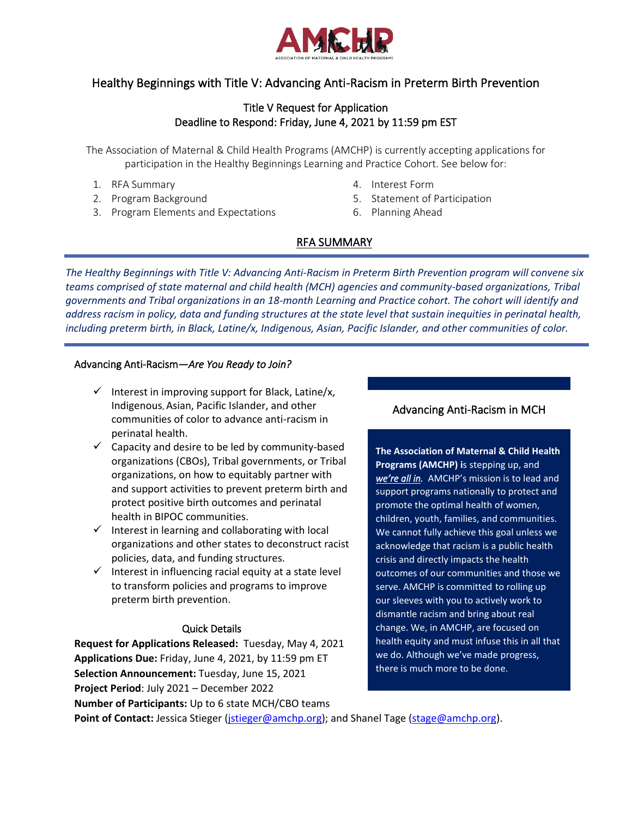

# Healthy Beginnings with Title V: Advancing Anti-Racism in Preterm Birth Prevention

## Title V Request for Application Deadline to Respond: Friday, June 4, 2021 by 11:59 pm EST

The Association of Maternal & Child Health Programs (AMCHP) is currently accepting applications for participation in the Healthy Beginnings Learning and Practice Cohort. See below for:

- 1. RFA Summary
- 2. Program Background
- 3. Program Elements and Expectations
- 4. Interest Form
- 5. Statement of Participation
- 6. Planning Ahead

# RFA SUMMARY

*The Healthy Beginnings with Title V: Advancing Anti-Racism in Preterm Birth Prevention program will convene six teams comprised of state maternal and child health (MCH) agencies and community-based organizations, Tribal governments and Tribal organizations in an 18-month Learning and Practice cohort. The cohort will identify and address racism in policy, data and funding structures at the state level that sustain inequities in perinatal health, including preterm birth, in Black, Latine/x, Indigenous, Asian, Pacific Islander, and other communities of color.*

### Advancing Anti-Racism—*Are You Ready to Join?*

- $\checkmark$  Interest in improving support for Black, Latine/x, Indigenous, Asian, Pacific Islander, and other communities of color to advance anti-racism in perinatal health.
- $\checkmark$  Capacity and desire to be led by community-based organizations (CBOs), Tribal governments, or Tribal organizations, on how to equitably partner with and support activities to prevent preterm birth and protect positive birth outcomes and perinatal health in BIPOC communities.
- $\checkmark$  Interest in learning and collaborating with local organizations and other states to deconstruct racist policies, data, and funding structures.
- $\checkmark$  Interest in influencing racial equity at a state level to transform policies and programs to improve preterm birth prevention.

## Quick Details

**Request for Applications Released:** Tuesday, May 4, 2021 **Applications Due:** Friday, June 4, 2021, by 11:59 pm ET **Selection Announcement:** Tuesday, June 15, 2021 **Project Period**: July 2021 – December 2022 **Number of Participants:** Up to 6 state MCH/CBO teams

## Advancing Anti-Racism in MCH

**The Association of Maternal & Child Health Programs (AMCHP) i**s stepping up, and *we['re all in](http://www.amchp.org/AboutAMCHP/NewsRoom/Documents/AMCHP%20Press%20Release_062320.pdf).* AMCHP's mission is to lead and support programs nationally to protect and promote the optimal health of women, children, youth, families, and communities. We cannot fully achieve this goal unless we acknowledge that racism is a public health crisis and directly impacts the health outcomes of our communities and those we serve. AMCHP is committed to rolling up our sleeves with you to actively work to dismantle racism and bring about real change. We, in AMCHP, are focused on health equity and must infuse this in all that we do. Although we've made progress, there is much more to be done.

**Point of Contact:** Jessica Stieger [\(jstieger@amchp.org\)](mailto:jstieger@amchp.org); and Shanel Tage [\(stage@amchp.org\)](mailto:stage@amchp.org).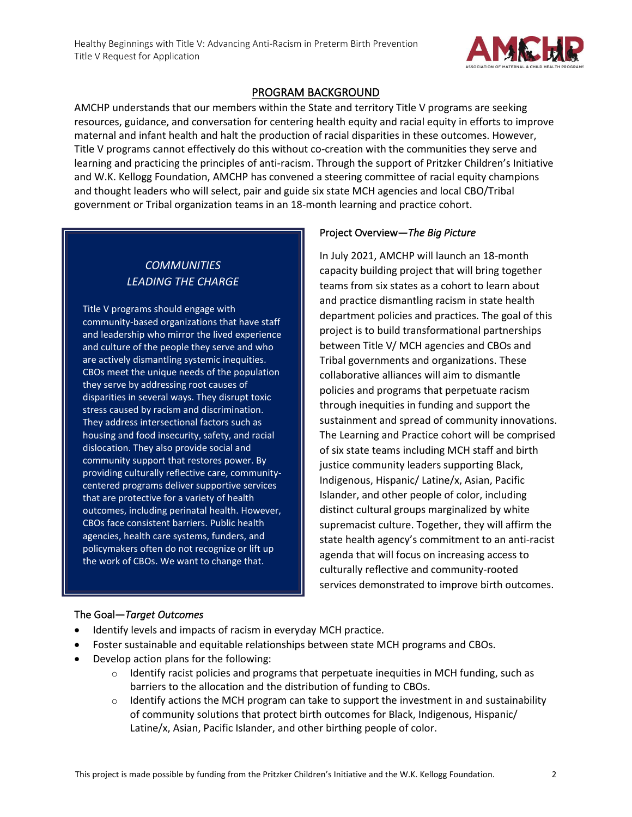

## PROGRAM BACKGROUND

AMCHP understands that our members within the State and territory Title V programs are seeking resources, guidance, and conversation for centering health equity and racial equity in efforts to improve maternal and infant health and halt the production of racial disparities in these outcomes. However, Title V programs cannot effectively do this without co-creation with the communities they serve and learning and practicing the principles of anti-racism. Through the support of Pritzker Children's Initiative and W.K. Kellogg Foundation, AMCHP has convened a steering committee of racial equity champions and thought leaders who will select, pair and guide six state MCH agencies and local CBO/Tribal government or Tribal organization teams in an 18-month learning and practice cohort.

# *COMMUNITIES LEADING THE CHARGE*

Title V programs should engage with community-based organizations that have staff and leadership who mirror the lived experience and culture of the people they serve and who are actively dismantling systemic inequities. CBOs meet the unique needs of the population they serve by addressing root causes of disparities in several ways. They disrupt toxic stress caused by racism and discrimination. They address intersectional factors such as housing and food insecurity, safety, and racial dislocation. They also provide social and community support that restores power. By providing culturally reflective care, communitycentered programs deliver supportive services that are protective for a variety of health outcomes, including perinatal health. However, CBOs face consistent barriers. Public health agencies, health care systems, funders, and policymakers often do not recognize or lift up the work of CBOs. We want to change that.

## Project Overview—*The Big Picture*

In July 2021, AMCHP will launch an 18-month capacity building project that will bring together teams from six states as a cohort to learn about and practice dismantling racism in state health department policies and practices. The goal of this project is to build transformational partnerships between Title V/ MCH agencies and CBOs and Tribal governments and organizations. These collaborative alliances will aim to dismantle policies and programs that perpetuate racism through inequities in funding and support the sustainment and spread of community innovations. The Learning and Practice cohort will be comprised of six state teams including MCH staff and birth justice community leaders supporting Black, Indigenous, Hispanic/ Latine/x, Asian, Pacific Islander, and other people of color, including distinct cultural groups marginalized by white supremacist culture. Together, they will affirm the state health agency's commitment to an anti-racist agenda that will focus on increasing access to culturally reflective and community-rooted services demonstrated to improve birth outcomes.

#### The Goal—*Target Outcomes*

- Identify levels and impacts of racism in everyday MCH practice.
- Foster sustainable and equitable relationships between state MCH programs and CBOs.
- Develop action plans for the following:
	- $\circ$  Identify racist policies and programs that perpetuate inequities in MCH funding, such as barriers to the allocation and the distribution of funding to CBOs.
	- $\circ$  Identify actions the MCH program can take to support the investment in and sustainability of community solutions that protect birth outcomes for Black, Indigenous, Hispanic/ Latine/x, Asian, Pacific Islander, and other birthing people of color.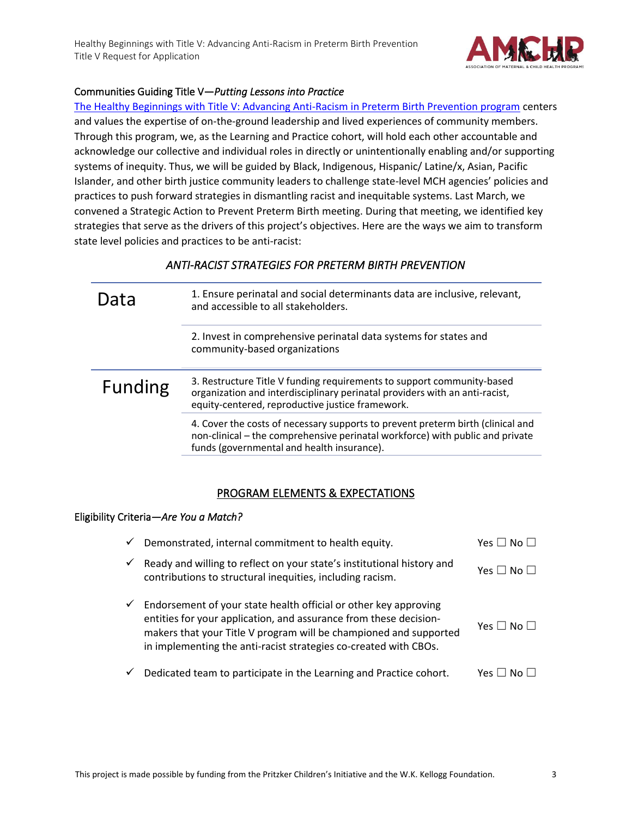

### Communities Guiding Title V—*Putting Lessons into Practice*

[The Healthy Beginnings with Title V: Advancing Anti-Racism in Preterm Birth Prevention program](http://www.amchp.org/programsandtopics/womens-health/Focus%20Areas/infantmortality/Pages/Healthy-Beginnings.aspx) centers and values the expertise of on-the-ground leadership and lived experiences of community members. Through this program, we, as the Learning and Practice cohort, will hold each other accountable and acknowledge our collective and individual roles in directly or unintentionally enabling and/or supporting systems of inequity. Thus, we will be guided by Black, Indigenous, Hispanic/ Latine/x, Asian, Pacific Islander, and other birth justice community leaders to challenge state-level MCH agencies' policies and practices to push forward strategies in dismantling racist and inequitable systems. Last March, we convened a Strategic Action to Prevent Preterm Birth meeting. During that meeting, we identified key strategies that serve as the drivers of this project's objectives. Here are the ways we aim to transform state level policies and practices to be anti-racist:

## *ANTI-RACIST STRATEGIES FOR PRETERM BIRTH PREVENTION*

| Data           | 1. Ensure perinatal and social determinants data are inclusive, relevant,<br>and accessible to all stakeholders.                                                                                               |
|----------------|----------------------------------------------------------------------------------------------------------------------------------------------------------------------------------------------------------------|
|                | 2. Invest in comprehensive perinatal data systems for states and<br>community-based organizations                                                                                                              |
| <b>Funding</b> | 3. Restructure Title V funding requirements to support community-based<br>organization and interdisciplinary perinatal providers with an anti-racist,<br>equity-centered, reproductive justice framework.      |
|                | 4. Cover the costs of necessary supports to prevent preterm birth (clinical and<br>non-clinical – the comprehensive perinatal workforce) with public and private<br>funds (governmental and health insurance). |

## PROGRAM ELEMENTS & EXPECTATIONS

#### EligibilityCriteria*—Are You a Match?*

| ✓ | Demonstrated, internal commitment to health equity.                                                                                                                                                                                                                            | Yes $\Box$ No $\Box$       |
|---|--------------------------------------------------------------------------------------------------------------------------------------------------------------------------------------------------------------------------------------------------------------------------------|----------------------------|
| ✓ | Ready and willing to reflect on your state's institutional history and<br>contributions to structural inequities, including racism.                                                                                                                                            | Yes $\square$ No $\square$ |
| ✓ | Endorsement of your state health official or other key approving<br>entities for your application, and assurance from these decision-<br>makers that your Title V program will be championed and supported<br>in implementing the anti-racist strategies co-created with CBOs. | Yes $\Box$ No $\Box$       |
| ✓ | Dedicated team to participate in the Learning and Practice cohort.                                                                                                                                                                                                             | Yes I                      |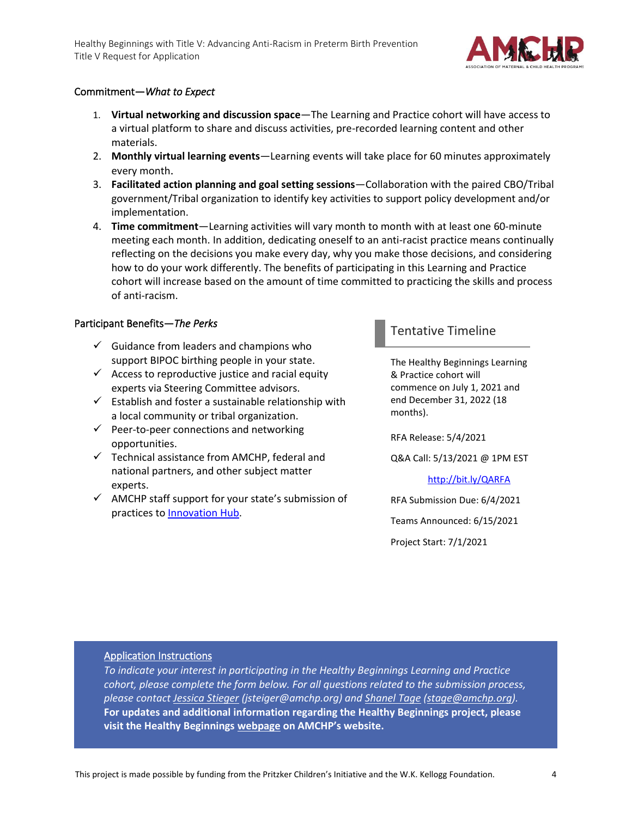

### Commitment—*What to Expect*

- 1. **Virtual networking and discussion space**—The Learning and Practice cohort will have access to a virtual platform to share and discuss activities, pre-recorded learning content and other materials.
- 2. **Monthly virtual learning events**—Learning events will take place for 60 minutes approximately every month.
- 3. **Facilitated action planning and goal setting sessions**—Collaboration with the paired CBO/Tribal government/Tribal organization to identify key activities to support policy development and/or implementation.
- 4. **Time commitment**—Learning activities will vary month to month with at least one 60-minute meeting each month. In addition, dedicating oneself to an anti-racist practice means continually reflecting on the decisions you make every day, why you make those decisions, and considering how to do your work differently. The benefits of participating in this Learning and Practice cohort will increase based on the amount of time committed to practicing the skills and process of anti-racism.

#### Participant Benefits—*The Perks*

- $\checkmark$  Guidance from leaders and champions who support BIPOC birthing people in your state.
- $\checkmark$  Access to reproductive justice and racial equity experts via Steering Committee advisors.
- $\checkmark$  Establish and foster a sustainable relationship with a local community or tribal organization.
- $\checkmark$  Peer-to-peer connections and networking opportunities.
- $\checkmark$  Technical assistance from AMCHP, federal and national partners, and other subject matter experts.
- ✓ AMCHP staff support for your state's submission of practices t[o Innovation Hub.](https://www.amchpinnovation.org/)

# Tentative Timeline

The Healthy Beginnings Learning & Practice cohort will commence on July 1, 2021 and end December 31, 2022 (18 months).

RFA Release: 5/4/2021

Q&A Call: 5/13/2021 @ 1PM EST

<http://bit.ly/QARFA>

RFA Submission Due: 6/4/2021 Teams Announced: 6/15/2021 Project Start: 7/1/2021

#### Application Instructions

*To indicate your interest in participating in the Healthy Beginnings Learning and Practice cohort, please complete the form below. For all questions related to the submission process, please contact [Jessica Stieger](mailto:jstieger@amchp.org) (jsteiger@amchp.org) an[d Shanel Tage](mailto:stage@amchp.org) [\(stage@amchp.org\)](mailto:stage@amchp.org).* **For updates and additional information regarding the Healthy Beginnings project, please visit the Healthy Beginnings [webpage](http://www.amchp.org/programsandtopics/womens-health/Focus%20Areas/infantmortality/Pages/Healthy-Beginnings.aspx) on AMCHP's website.**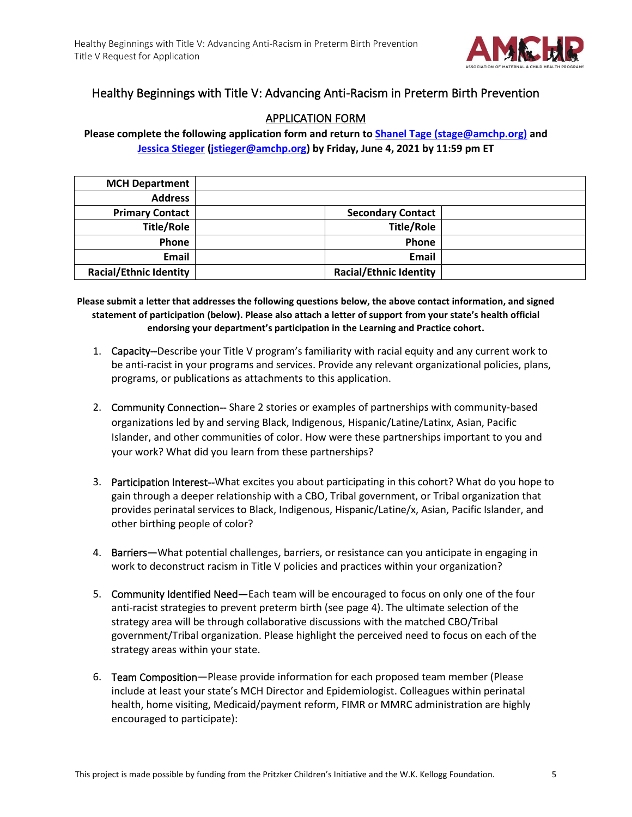

# Healthy Beginnings with Title V: Advancing Anti-Racism in Preterm Birth Prevention

# APPLICATION FORM

**Please complete the following application form and return t[o Shanel Tage](mailto:stage@amchp.org) (stage@amchp.org) and [Jessica Stieger](mailto:@jstieger@amchp.org) [\(jstieger@amchp.org\)](mailto:jstieger@amchp.org) by Friday, June 4, 2021 by 11:59 pm ET**

| <b>MCH Department</b>         |                               |  |
|-------------------------------|-------------------------------|--|
| <b>Address</b>                |                               |  |
| <b>Primary Contact</b>        | <b>Secondary Contact</b>      |  |
| <b>Title/Role</b>             | <b>Title/Role</b>             |  |
| Phone                         | Phone                         |  |
| Email                         | Email                         |  |
| <b>Racial/Ethnic Identity</b> | <b>Racial/Ethnic Identity</b> |  |

**Please submit a letter that addresses the following questions below, the above contact information, and signed statement of participation (below). Please also attach a letter of support from your state's health official endorsing your department's participation in the Learning and Practice cohort.**

- 1. Capacity--Describe your Title V program's familiarity with racial equity and any current work to be anti-racist in your programs and services. Provide any relevant organizational policies, plans, programs, or publications as attachments to this application.
- 2. Community Connection-- Share 2 stories or examples of partnerships with community-based organizations led by and serving Black, Indigenous, Hispanic/Latine/Latinx, Asian, Pacific Islander, and other communities of color. How were these partnerships important to you and your work? What did you learn from these partnerships?
- 3. Participation Interest--What excites you about participating in this cohort? What do you hope to gain through a deeper relationship with a CBO, Tribal government, or Tribal organization that provides perinatal services to Black, Indigenous, Hispanic/Latine/x, Asian, Pacific Islander, and other birthing people of color?
- 4. Barriers—What potential challenges, barriers, or resistance can you anticipate in engaging in work to deconstruct racism in Title V policies and practices within your organization?
- 5. Community Identified Need—Each team will be encouraged to focus on only one of the four anti-racist strategies to prevent preterm birth (see page 4). The ultimate selection of the strategy area will be through collaborative discussions with the matched CBO/Tribal government/Tribal organization. Please highlight the perceived need to focus on each of the strategy areas within your state.
- 6. Team Composition—Please provide information for each proposed team member (Please include at least your state's MCH Director and Epidemiologist. Colleagues within perinatal health, home visiting, Medicaid/payment reform, FIMR or MMRC administration are highly encouraged to participate):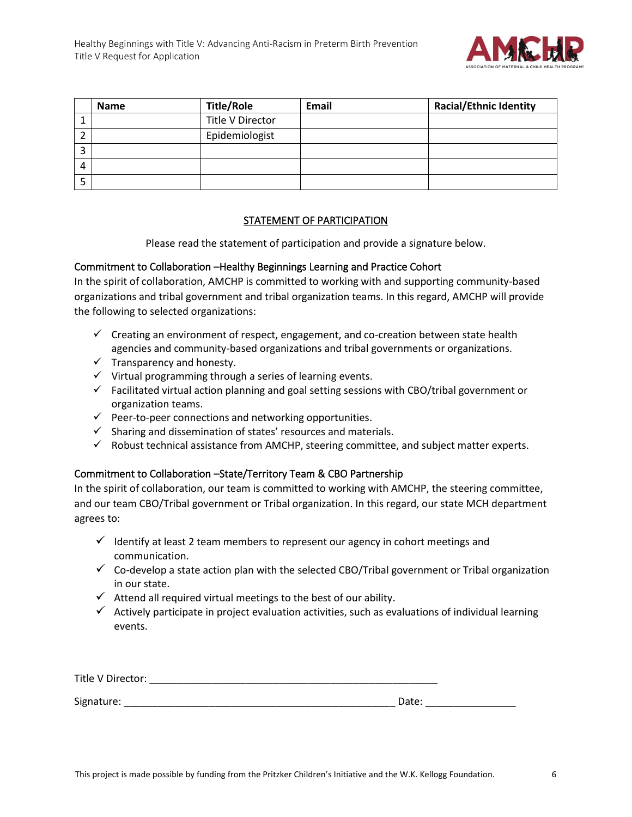

|   | <b>Name</b> | <b>Title/Role</b> | Email | <b>Racial/Ethnic Identity</b> |
|---|-------------|-------------------|-------|-------------------------------|
|   |             | Title V Director  |       |                               |
| ∠ |             | Epidemiologist    |       |                               |
| 3 |             |                   |       |                               |
| 4 |             |                   |       |                               |
|   |             |                   |       |                               |

### STATEMENT OF PARTICIPATION

Please read the statement of participation and provide a signature below.

#### Commitment to Collaboration –Healthy Beginnings Learning and Practice Cohort

In the spirit of collaboration, AMCHP is committed to working with and supporting community-based organizations and tribal government and tribal organization teams. In this regard, AMCHP will provide the following to selected organizations:

- $\checkmark$  Creating an environment of respect, engagement, and co-creation between state health agencies and community-based organizations and tribal governments or organizations.
- $\checkmark$  Transparency and honesty.
- $\checkmark$  Virtual programming through a series of learning events.
- $\checkmark$  Facilitated virtual action planning and goal setting sessions with CBO/tribal government or organization teams.
- $\checkmark$  Peer-to-peer connections and networking opportunities.
- $\checkmark$  Sharing and dissemination of states' resources and materials.
- $\checkmark$  Robust technical assistance from AMCHP, steering committee, and subject matter experts.

## Commitment to Collaboration –State/Territory Team & CBO Partnership

In the spirit of collaboration, our team is committed to working with AMCHP, the steering committee, and our team CBO/Tribal government or Tribal organization. In this regard, our state MCH department agrees to:

- $\checkmark$  Identify at least 2 team members to represent our agency in cohort meetings and communication.
- $\checkmark$  Co-develop a state action plan with the selected CBO/Tribal government or Tribal organization in our state.
- $\checkmark$  Attend all required virtual meetings to the best of our ability.
- $\checkmark$  Actively participate in project evaluation activities, such as evaluations of individual learning events.

| Title V Director: |       |  |
|-------------------|-------|--|
|                   |       |  |
| Signature:        | Date: |  |